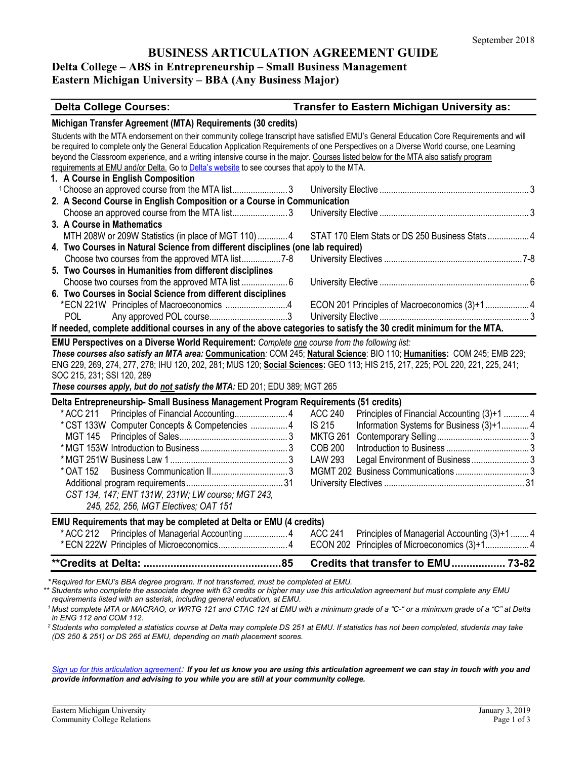# **BUSINESS ARTICULATION AGREEMENT GUIDE**

# **Delta College – ABS in Entrepreneurship – Small Business Management**

# **Eastern Michigan University – BBA (Any Business Major)**

| Students with the MTA endorsement on their community college transcript have satisfied EMU's General Education Core Requirements and will<br>be required to complete only the General Education Application Requirements of one Perspectives on a Diverse World course, one Learning<br>beyond the Classroom experience, and a writing intensive course in the major. Courses listed below for the MTA also satisfy program<br>requirements at EMU and/or Delta. Go to Delta's website to see courses that apply to the MTA.<br>2. A Second Course in English Composition or a Course in Communication<br>STAT 170 Elem Stats or DS 250 Business Stats  4<br>4. Two Courses in Natural Science from different disciplines (one lab required) |
|----------------------------------------------------------------------------------------------------------------------------------------------------------------------------------------------------------------------------------------------------------------------------------------------------------------------------------------------------------------------------------------------------------------------------------------------------------------------------------------------------------------------------------------------------------------------------------------------------------------------------------------------------------------------------------------------------------------------------------------------|
|                                                                                                                                                                                                                                                                                                                                                                                                                                                                                                                                                                                                                                                                                                                                              |
|                                                                                                                                                                                                                                                                                                                                                                                                                                                                                                                                                                                                                                                                                                                                              |
|                                                                                                                                                                                                                                                                                                                                                                                                                                                                                                                                                                                                                                                                                                                                              |
|                                                                                                                                                                                                                                                                                                                                                                                                                                                                                                                                                                                                                                                                                                                                              |
|                                                                                                                                                                                                                                                                                                                                                                                                                                                                                                                                                                                                                                                                                                                                              |
|                                                                                                                                                                                                                                                                                                                                                                                                                                                                                                                                                                                                                                                                                                                                              |
|                                                                                                                                                                                                                                                                                                                                                                                                                                                                                                                                                                                                                                                                                                                                              |
|                                                                                                                                                                                                                                                                                                                                                                                                                                                                                                                                                                                                                                                                                                                                              |
|                                                                                                                                                                                                                                                                                                                                                                                                                                                                                                                                                                                                                                                                                                                                              |
|                                                                                                                                                                                                                                                                                                                                                                                                                                                                                                                                                                                                                                                                                                                                              |
|                                                                                                                                                                                                                                                                                                                                                                                                                                                                                                                                                                                                                                                                                                                                              |
|                                                                                                                                                                                                                                                                                                                                                                                                                                                                                                                                                                                                                                                                                                                                              |
|                                                                                                                                                                                                                                                                                                                                                                                                                                                                                                                                                                                                                                                                                                                                              |
|                                                                                                                                                                                                                                                                                                                                                                                                                                                                                                                                                                                                                                                                                                                                              |
|                                                                                                                                                                                                                                                                                                                                                                                                                                                                                                                                                                                                                                                                                                                                              |
|                                                                                                                                                                                                                                                                                                                                                                                                                                                                                                                                                                                                                                                                                                                                              |
| ECON 201 Principles of Macroeconomics (3)+1 4                                                                                                                                                                                                                                                                                                                                                                                                                                                                                                                                                                                                                                                                                                |
|                                                                                                                                                                                                                                                                                                                                                                                                                                                                                                                                                                                                                                                                                                                                              |
| If needed, complete additional courses in any of the above categories to satisfy the 30 credit minimum for the MTA.                                                                                                                                                                                                                                                                                                                                                                                                                                                                                                                                                                                                                          |
| ENG 229, 269, 274, 277, 278; IHU 120, 202, 281; MUS 120; Social Sciences: GEO 113; HIS 215, 217, 225; POL 220, 221, 225, 241;<br>These courses apply, but do not satisfy the MTA: ED 201; EDU 389; MGT 265                                                                                                                                                                                                                                                                                                                                                                                                                                                                                                                                   |
| Delta Entrepreneurship- Small Business Management Program Requirements (51 credits)                                                                                                                                                                                                                                                                                                                                                                                                                                                                                                                                                                                                                                                          |
| <b>ACC 240</b><br>Principles of Financial Accounting (3)+1  4                                                                                                                                                                                                                                                                                                                                                                                                                                                                                                                                                                                                                                                                                |
| <b>IS 215</b><br>Information Systems for Business (3)+1 4                                                                                                                                                                                                                                                                                                                                                                                                                                                                                                                                                                                                                                                                                    |
|                                                                                                                                                                                                                                                                                                                                                                                                                                                                                                                                                                                                                                                                                                                                              |
|                                                                                                                                                                                                                                                                                                                                                                                                                                                                                                                                                                                                                                                                                                                                              |
| <b>COB 200</b>                                                                                                                                                                                                                                                                                                                                                                                                                                                                                                                                                                                                                                                                                                                               |
| <b>LAW 293</b>                                                                                                                                                                                                                                                                                                                                                                                                                                                                                                                                                                                                                                                                                                                               |
|                                                                                                                                                                                                                                                                                                                                                                                                                                                                                                                                                                                                                                                                                                                                              |
|                                                                                                                                                                                                                                                                                                                                                                                                                                                                                                                                                                                                                                                                                                                                              |
|                                                                                                                                                                                                                                                                                                                                                                                                                                                                                                                                                                                                                                                                                                                                              |
|                                                                                                                                                                                                                                                                                                                                                                                                                                                                                                                                                                                                                                                                                                                                              |
|                                                                                                                                                                                                                                                                                                                                                                                                                                                                                                                                                                                                                                                                                                                                              |
|                                                                                                                                                                                                                                                                                                                                                                                                                                                                                                                                                                                                                                                                                                                                              |
| <b>ACC 241</b>                                                                                                                                                                                                                                                                                                                                                                                                                                                                                                                                                                                                                                                                                                                               |
| Legal Environment of Business3<br>Principles of Managerial Accounting (3)+1  4<br>Credits that transfer to EMU 73-82                                                                                                                                                                                                                                                                                                                                                                                                                                                                                                                                                                                                                         |
|                                                                                                                                                                                                                                                                                                                                                                                                                                                                                                                                                                                                                                                                                                                                              |

*requirements listed with an asterisk, including general education, at EMU.*

*1 Must complete MTA or MACRAO, or WRTG 121 and CTAC 124 at EMU with a minimum grade of a "C-" or a minimum grade of a "C" at Delta in ENG 112 and COM 112.*

*2 Students who completed a statistics course at Delta may complete DS 251 at EMU. If statistics has not been completed, students may take (DS 250 & 251) or DS 265 at EMU, depending on math placement scores.*

*[Sign up for this articulation agreement](http://www.emich.edu/ccr/articulation-agreements/signup.php): If you let us know you are using this articulation agreement we can stay in touch with you and provide information and advising to you while you are still at your community college.*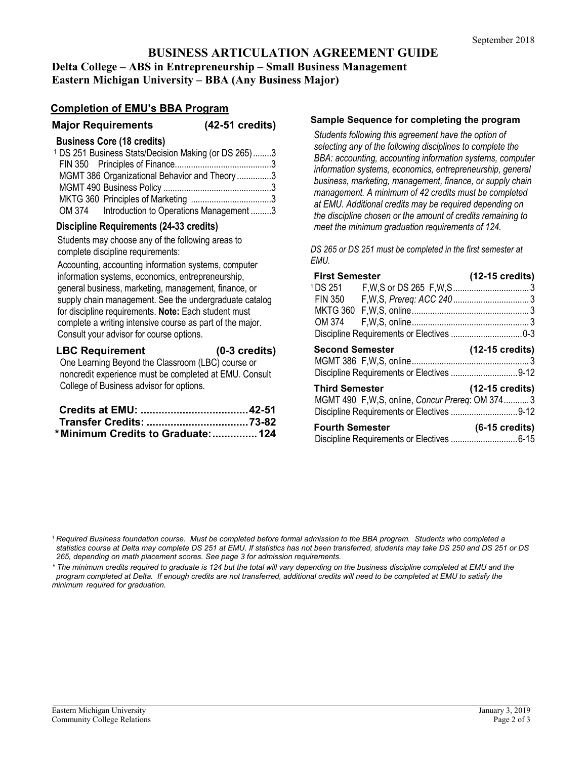# **BUSINESS ARTICULATION AGREEMENT GUIDE Delta College – ABS in Entrepreneurship – Small Business Management Eastern Michigan University – BBA (Any Business Major)**

# **Completion of EMU's BBA Program**

| <b>Major Requirements</b> | (42-51 credits) |
|---------------------------|-----------------|
|                           |                 |

#### **Business Core (18 credits)**

| <sup>1</sup> DS 251 Business Stats/Decision Making (or DS 265)3 |  |
|-----------------------------------------------------------------|--|
|                                                                 |  |
| MGMT 386 Organizational Behavior and Theory 3                   |  |
|                                                                 |  |
|                                                                 |  |
| OM 374 Introduction to Operations Management 3                  |  |

### **Discipline Requirements (24-33 credits)**

Students may choose any of the following areas to complete discipline requirements:

Accounting, accounting information systems, computer information systems, economics, entrepreneurship, general business, marketing, management, finance, or supply chain management. See the undergraduate catalog for discipline requirements. **Note:** Each student must complete a writing intensive course as part of the major. Consult your advisor for course options.

### **LBC Requirement (0-3 credits)**

One Learning Beyond the Classroom (LBC) course or noncredit experience must be completed at EMU. Consult College of Business advisor for options.

| *Minimum Credits to Graduate: 124 |  |
|-----------------------------------|--|

#### **Sample Sequence for completing the program**

*Students following this agreement have the option of selecting any of the following disciplines to complete the BBA: accounting, accounting information systems, computer information systems, economics, entrepreneurship, general business, marketing, management, finance, or supply chain management. A minimum of 42 credits must be completed at EMU. Additional credits may be required depending on the discipline chosen or the amount of credits remaining to meet the minimum graduation requirements of 124.* 

*DS 265 or DS 251 must be completed in the first semester at EMU.*

| <b>First Semester</b>  |                                                                                             | (12-15 credits)           |
|------------------------|---------------------------------------------------------------------------------------------|---------------------------|
|                        |                                                                                             |                           |
| OM 374                 |                                                                                             |                           |
|                        |                                                                                             |                           |
| <b>Second Semester</b> | Discipline Requirements or Electives 9-12                                                   | $(12-15 \text{ credits})$ |
| <b>Third Semester</b>  | MGMT 490 F,W,S, online, Concur Prereq: OM 3743<br>Discipline Requirements or Electives 9-12 | (12-15 credits)           |
| <b>Fourth Semester</b> |                                                                                             | $(6-15 \text{ credits})$  |

*<sup>1</sup> Required Business foundation course. Must be completed before formal admission to the BBA program. Students who completed a statistics course at Delta may complete DS 251 at EMU. If statistics has not been transferred, students may take DS 250 and DS 251 or DS 265, depending on math placement scores. See page 3 for admission requirements.*

*\* The minimum credits required to graduate is 124 but the total will vary depending on the business discipline completed at EMU and the program completed at Delta. If enough credits are not transferred, additional credits will need to be completed at EMU to satisfy the minimum required for graduation.*